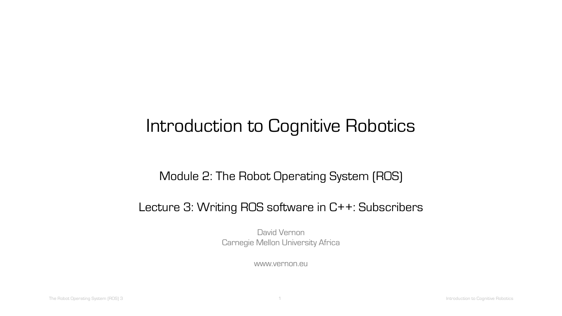# Introduction to Cognitive Robotics

#### Module 2: The Robot Operating System (ROS)

#### Lecture 3: Writing ROS software in C++: Subscribers

David Vernon Carnegie Mellon University Africa

www.vernon.eu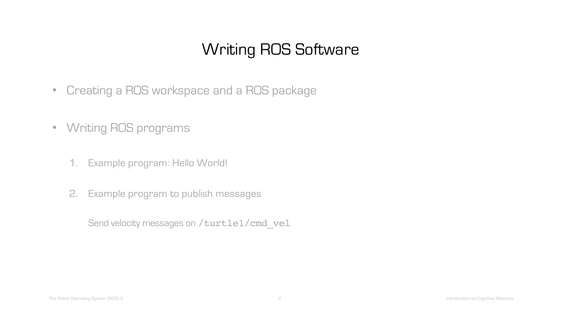## Writing ROS Software

- Creating a ROS workspace and a ROS package
- Writing ROS programs
	- 1. Example program: Hello World!
	- 2. Example program to publish messages

Send velocity messages on /turtle1/cmd\_vel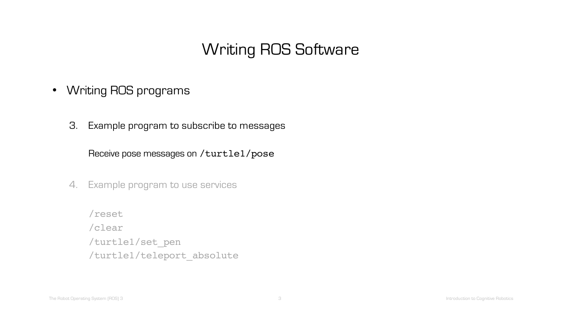### Writing ROS Software

- Writing ROS programs
	- 3. Example program to subscribe to messages

Receive pose messages on /turtle1/pose

- 4. Example program to use services
	- /reset /clear /turtle1/set\_pen /turtle1/teleport\_absolute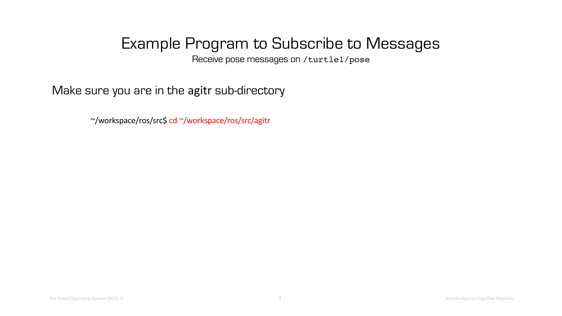Receive pose messages on /turtle1/pose

Make sure you are in the agitr sub-directory

~/workspace/ros/src\$ cd ~/workspace/ros/src/agitr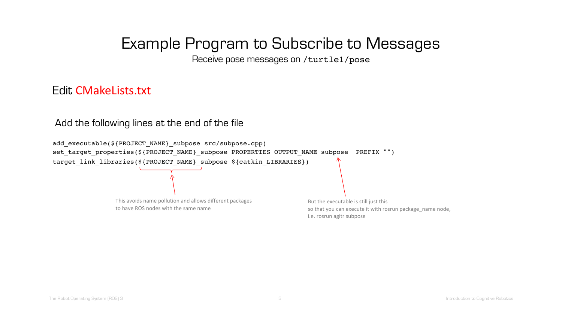Receive pose messages on /turtle1/pose

#### Edit CMakeLists.txt

Add the following lines at the end of the file

add executable(\${PROJECT\_NAME} subpose src/subpose.cpp) set target properties(\${PROJECT\_NAME}\_subpose PROPERTIES OUTPUT\_NAME subpose PREFIX "") target link libraries(\${PROJECT\_NAME} subpose \${catkin LIBRARIES})

> This avoids name pollution and allows different packages to have ROS nodes with the same name

But the executable is still just this so that you can execute it with rosrun package\_name node, i.e. rosrun agitr subpose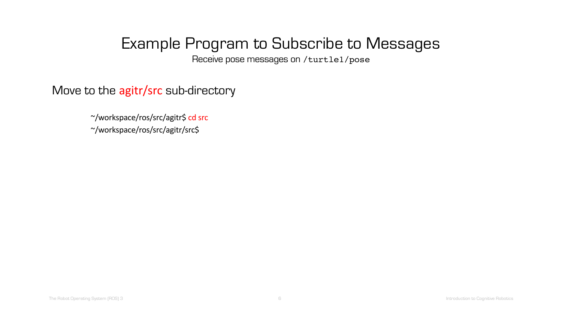Receive pose messages on /turtle1/pose

Move to the agitr/src sub-directory

~/workspace/ros/src/agitr\$ cd src ~/workspace/ros/src/agitr/src\$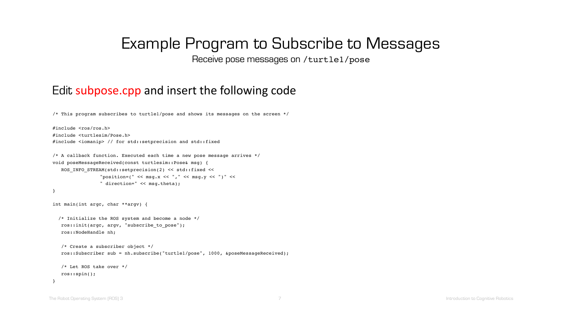Receive pose messages on /turtle1/pose

#### Edit subpose.cpp and insert the following code

/\* This program subscribes to turtle1/pose and shows its messages on the screen \*/

```
#include <ros/ros.h>
#include <turtlesim/Pose.h>
#include <iomanip> // for std::setprecision and std::fixed
```

```
/* A callback function. Executed each time a new pose message arrives */
void poseMessageReceived(const turtlesim::Pose& msg) {
  ROS INFO STREAM(std::setprecision(2) << std::fixed <<
                "position=(" << msg.x << ", " << msg.y << ")" <<" direction=" << msg.theta);
}
int main(int argc, char **argv) {
  /* Initialize the ROS system and become a node */
  ros::init(argc, argv, "subscribe_to_pose");
  ros::NodeHandle nh;
```

```
/* Create a subscriber object */
ros::Subscriber sub = nh.subscribe("turtle1/pose", 1000, &poseMessageReceived);
```

```
/* Let ROS take over */
ros::spin();
```
}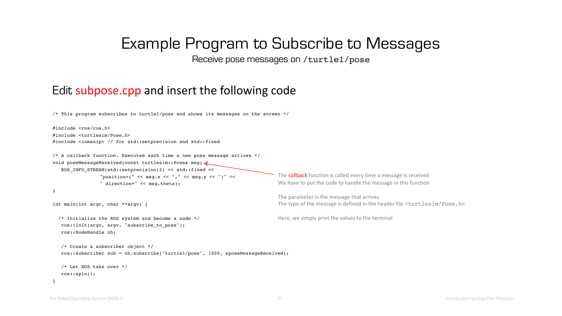Receive pose messages on /turtle1/pose

#### Edit subpose.cpp and insert the following code

/\* This program subscribes to turtle1/pose and shows its messages on the screen \*/

#include <ros/ros.h> #include <turtlesim/Pose.h> #include <iomanip> // for std::setprecision and std::fixed

```
/* A callback function. Executed each time a new pose message arrives */
void poseMessageReceived(const turtlesim::Pose& msg) {
  ROS INFO STREAM(std::setprecision(2) << std::fixed <<
                "position=(" << msg.x << ", " << msg.y << ")" <<" direction=" << msg.theta);
}
```

```
int main(int argc, char **argv) {
```
/\* Initialize the ROS system and become a node \*/ ros::init(argc, argv, "subscribe\_to\_pose"); ros::NodeHandle nh;

```
/* Create a subscriber object */
ros::Subscriber sub = nh.subscribe("turtle1/pose", 1000, &poseMessageReceived);
```

```
/* Let ROS take over */
ros::spin();
```
}

The **callback** function is called every time a message is received We have to put the code to handle the message in this function

The parameter is the message that arrives. The type of the message is defined in the header file <turtlesim/Pose.h>

Here, we simply print the values to the terminal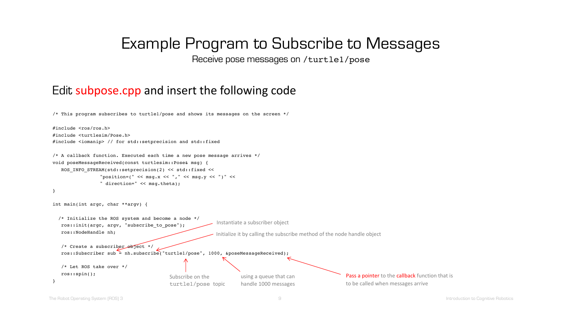Receive pose messages on /turtle1/pose

#### Edit subpose.cpp and insert the following code

```
/* This program subscribes to turtle1/pose and shows its messages on the screen */
```

```
Instantiate a subscriber object
                                                            Initialize it by calling the subscribe method of the node handle object
                                           Subscribe on the 
                                           turtle1/pose topic
                                                                     using a queue that can 
                                                                     handle 1000 messages
                                                                                                            Pass a pointer to the callback function that is
                                                                                                           to be called when messages arrive 
#include <ros/ros.h>
#include <turtlesim/Pose.h>
#include <iomanip> // for std::setprecision and std::fixed
/* A callback function. Executed each time a new pose message arrives */
void poseMessageReceived(const turtlesim::Pose& msg) {
   ROS INFO STREAM(std::setprecision(2) << std::fixed <<
                 "position=("<< msg.x << ", "<< msg.y << ")"<<" direction=" << msg.theta);
}
int main(int argc, char **argv) {
  /* Initialize the ROS system and become a node */
   ros::init(argc, argv, "subscribe_to_pose");
   ros::NodeHandle nh;
   /* Create a subscriber object */
   ros::Subscriber sub = nh.subscribe("turtle1/pose", 1000, &poseMessageReceived);
   /* Let ROS take over */
   ros::spin();
}
```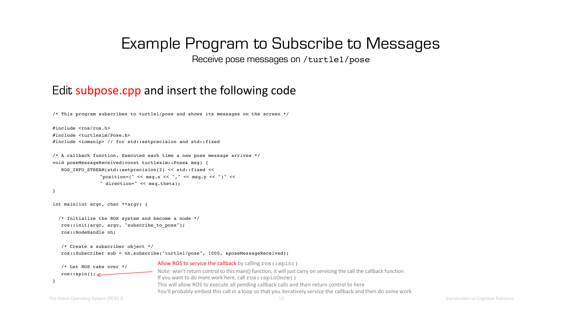Receive pose messages on /turtle1/pose

#### Edit subpose.cpp and insert the following code

/\* This program subscribes to turtle1/pose and shows its messages on the screen \*/

```
#include <ros/ros.h>
#include <turtlesim/Pose.h>
#include <iomanip> // for std::setprecision and std::fixed
```

```
/* A callback function. Executed each time a new pose message arrives */
void poseMessageReceived(const turtlesim::Pose& msg) {
  ROS INFO STREAM(std::setprecision(2) << std::fixed <<
                "position=(" << msg.x << ", " << msg.y << ")" <<" direction=" << msg.theta);
}
```

```
int main(int argc, char **argv) {
```

```
/* Initialize the ROS system and become a node */
ros::init(argc, argv, "subscribe_to_pose");
ros::NodeHandle nh;
```

```
/* Create a subscriber object */
ros::Subscriber sub = nh.subscribe("turtle1/pose", 1000, &poseMessageReceived);
```


Allow ROS to service the callback by calling  $\text{ros:}\,:\text{spin}(x)$ Note: won't return control to this main() function; it will just carry on servicing the call the callback function If you want to do more work here, call  $\text{ros:}: \text{spinOnce}()$ This will allow ROS to execute all pending callback calls and then return control to here You'll probably embed this call in a loop so that you iteratively service the callback and then do some work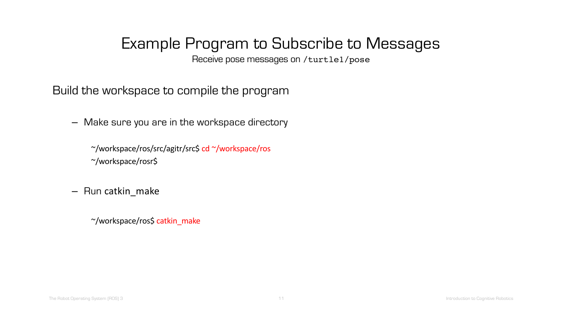Receive pose messages on /turtle1/pose

Build the workspace to compile the program

– Make sure you are in the workspace directory

~/workspace/ros/src/agitr/src\$ cd ~/workspace/ros ~/workspace/rosr\$

– Run catkin\_make

~/workspace/ros\$ catkin\_make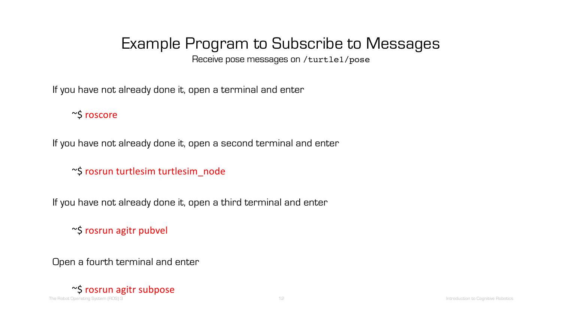Receive pose messages on /turtle1/pose

If you have not already done it, open a terminal and enter

~\$ roscore

If you have not already done it, open a second terminal and enter

~\$ rosrun turtlesim turtlesim\_node

If you have not already done it, open a third terminal and enter

~\$ rosrun agitr pubvel

Open a fourth terminal and enter

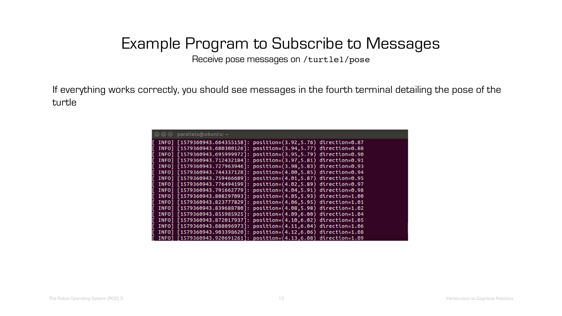Receive pose messages on /turtle1/pose

If everything works correctly, you should see messages in the fourth terminal detailing the pose of the turtle

|  | $\bullet \bullet \bullet$ parallels@ubuntu: ~                     |  |
|--|-------------------------------------------------------------------|--|
|  | INFO] [1579360943.664355158]: position=(3.92,5.76) direction=0.87 |  |
|  | INFO] [1579360943.680300126]: position=(3.94,5.77) direction=0.88 |  |
|  | INFO] [1579360943.695999972]: position=(3.95,5.79) direction=0.90 |  |
|  | INFO] [1579360943.712432184]: position=(3.97,5.81) direction=0.91 |  |
|  | INF0] [1579360943.727963946]: position=(3.98.5.83) direction=0.93 |  |
|  | INFO] [1579360943.744337128]: position=(4.00,5.85) direction=0.94 |  |
|  | INFO] [1579360943.759466689]: position=(4.01,5.87) direction=0.95 |  |
|  | INF0] [1579360943.776494199]: position=(4.02,5.89) direction=0.97 |  |
|  | INF0] [1579360943.791662779]: position=(4.04.5.91) direction=0.98 |  |
|  | INF0] [1579360943.808297093]: position=(4.05.5.93) direction=1.00 |  |
|  | INFO] [1579360943.823777829]: position=(4.06,5.95) direction=1.01 |  |
|  | INFO] [1579360943.839688780]: position=(4.08,5.98) direction=1.02 |  |
|  | INF0] [1579360943.855985925]: position=(4.09,6.00) direction=1.04 |  |
|  | INFO] [1579360943.872017937]: position=(4.10,6.02) direction=1.05 |  |
|  | INFO] [1579360943.888096973]: position=(4.11,6.04) direction=1.06 |  |
|  | INF0] [1579360943.903398620]: position=(4.12,6.06) direction=1.08 |  |
|  | INF0] [1579360943.920691261]: position=(4.13,6.08) direction=1.09 |  |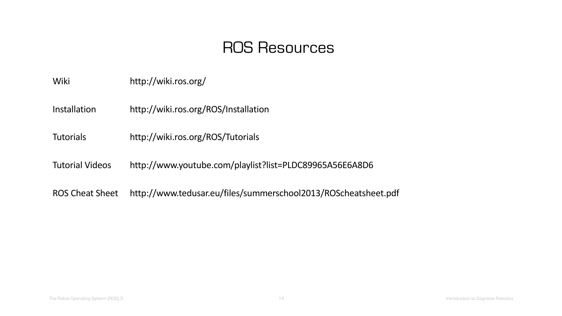### ROS Resources

Wiki http://wiki.ros.org/

Installation http://wiki.ros.org/ROS/Installation

Tutorials http://wiki.ros.org/ROS/Tutorials

Tutorial Videos http://www.youtube.com/playlist?list=PLDC89965A56E6A8D6

ROS Cheat Sheet http://www.tedusar.eu/files/summerschool2013/ROScheatsheet.pdf